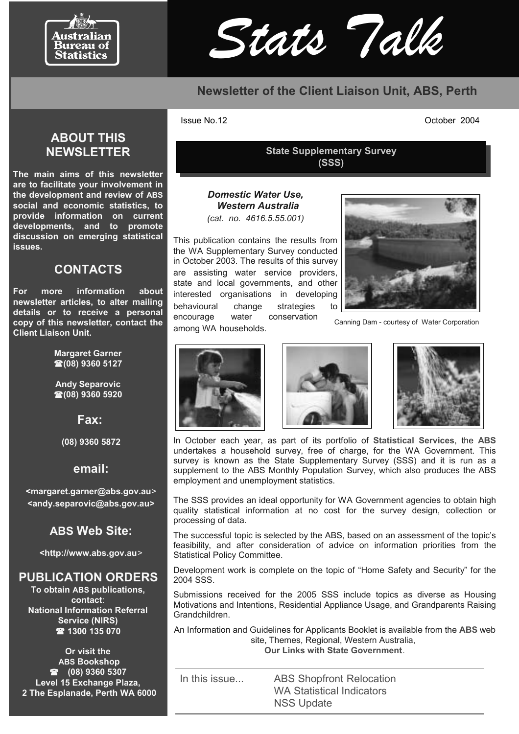

# Stats Talk

# **Newsletter of the Client Liaison Unit, ABS, Perth**

**State Supplementary Survey (SSS)**

Issue No.12 October 2004

# **ABOUT THIS NEWSLETTER**

**The main aims of this newsletter are to facilitate your involvement in the development and review of ABS social and economic statistics, to provide information on current developments, and to promote discussion on emerging statistical issues.**

# **CONTACTS**

**For more information about newsletter articles, to alter mailing details or to receive a personal copy of this newsletter, contact the Client Liaison Unit.**

> **Margaret Garner** !**(08) 9360 5127**

> **Andy Separovic** !**(08) 9360 5920**

> > **Fax:**

**(08) 9360 5872**

**email:**

**<margaret.garner@abs.gov.au**> **<andy.separovic@abs.gov.au>**

# **ABS Web Site:**

**<http://www.abs.gov.au**>

# **PUBLICATION ORDERS**

**To obtain ABS publications, contact**: **National Information Referral Service (NIRS)** ! **1300 135 070**

**Or visit the ABS Bookshop** ! **(08) 9360 5307 Level 15 Exchange Plaza, 2 The Esplanade, Perth WA 6000** *Domestic Water Use, Western Australia (cat. no. 4616.5.55.001)*

This publication contains the results from the WA Supplementary Survey conducted in October 2003. The results of this survey are assisting water service providers, state and local governments, and other interested organisations in developing behavioural change strategies encourage water conservation among WA households.



Canning Dam - courtesy of Water Corporation







In October each year, as part of its portfolio of **Statistical Services**, the **ABS** undertakes a household survey, free of charge, for the WA Government. This survey is known as the State Supplementary Survey (SSS) and it is run as a supplement to the ABS Monthly Population Survey, which also produces the ABS employment and unemployment statistics.

The SSS provides an ideal opportunity for WA Government agencies to obtain high quality statistical information at no cost for the survey design, collection or processing of data.

The successful topic is selected by the ABS, based on an assessment of the topicís feasibility, and after consideration of advice on information priorities from the Statistical Policy Committee.

Development work is complete on the topic of "Home Safety and Security" for the 2004 SSS.

Submissions received for the 2005 SSS include topics as diverse as Housing Motivations and Intentions, Residential Appliance Usage, and Grandparents Raising Grandchildren.

An Information and Guidelines for Applicants Booklet is available from the **ABS** web site, Themes, Regional, Western Australia, **Our Links with State Government**.

**1**

In this issue... ABS Shopfront Relocation WA Statistical Indicators NSS Update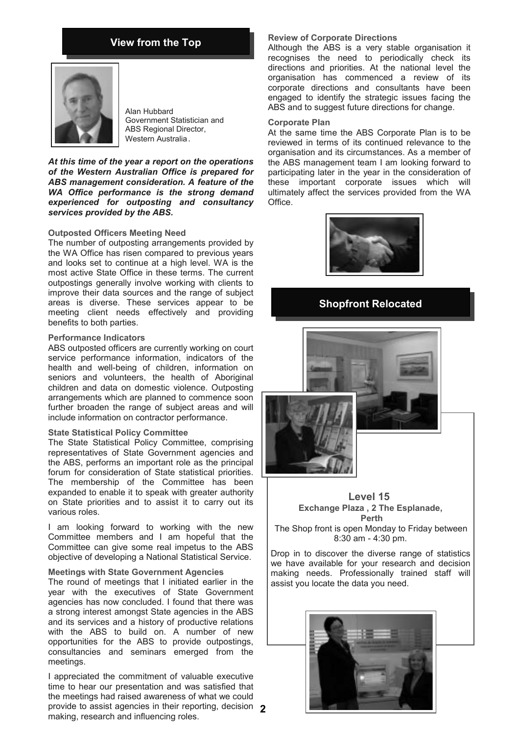## **View from the Top**



Alan Hubbard Government Statistician and ABS Regional Director, Western Australia.

*At this time of the year a report on the operations of the Western Australian Office is prepared for ABS management consideration. A feature of the WA Office performance is the strong demand experienced for outposting and consultancy services provided by the ABS.*

#### **Outposted Officers Meeting Need**

The number of outposting arrangements provided by the WA Office has risen compared to previous years and looks set to continue at a high level. WA is the most active State Office in these terms. The current outpostings generally involve working with clients to improve their data sources and the range of subject areas is diverse. These services appear to be meeting client needs effectively and providing benefits to both parties.

#### **Performance Indicators**

ABS outposted officers are currently working on court service performance information, indicators of the health and well-being of children, information on seniors and volunteers, the health of Aboriginal children and data on domestic violence. Outposting arrangements which are planned to commence soon further broaden the range of subject areas and will include information on contractor performance.

#### **State Statistical Policy Committee**

The State Statistical Policy Committee, comprising representatives of State Government agencies and the ABS, performs an important role as the principal forum for consideration of State statistical priorities. The membership of the Committee has been expanded to enable it to speak with greater authority on State priorities and to assist it to carry out its various roles.

I am looking forward to working with the new Committee members and I am hopeful that the Committee can give some real impetus to the ABS objective of developing a National Statistical Service.

#### **Meetings with State Government Agencies**

The round of meetings that I initiated earlier in the year with the executives of State Government agencies has now concluded. I found that there was a strong interest amongst State agencies in the ABS and its services and a history of productive relations with the ABS to build on. A number of new opportunities for the ABS to provide outpostings, consultancies and seminars emerged from the meetings.

**2** provide to assist agencies in their reporting, decision I appreciated the commitment of valuable executive time to hear our presentation and was satisfied that the meetings had raised awareness of what we could making, research and influencing roles.

#### **Review of Corporate Directions**

Although the ABS is a very stable organisation it recognises the need to periodically check its directions and priorities. At the national level the organisation has commenced a review of its corporate directions and consultants have been engaged to identify the strategic issues facing the ABS and to suggest future directions for change.

#### **Corporate Plan**

At the same time the ABS Corporate Plan is to be reviewed in terms of its continued relevance to the organisation and its circumstances. As a member of the ABS management team I am looking forward to participating later in the year in the consideration of these important corporate issues which will ultimately affect the services provided from the WA Office.



## **Shopfront Relocated**



**Level 15 Exchange Plaza , 2 The Esplanade, Perth** The Shop front is open Monday to Friday between 8:30 am - 4:30 pm.

Drop in to discover the diverse range of statistics we have available for your research and decision making needs. Professionally trained staff will assist you locate the data you need.

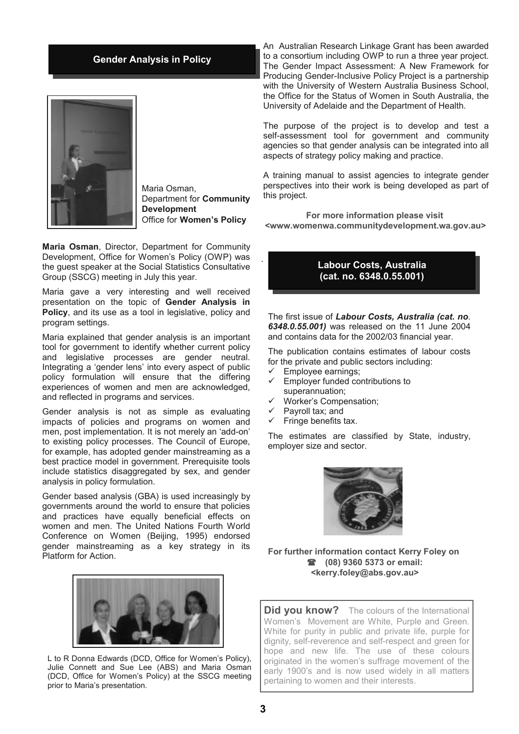## **Gender Analysis in Policy**



Maria Osman, Department for **Community Development Office for Women's Policy** 

**Maria Osman**, Director, Department for Community Development, Office for Women's Policy (OWP) was the guest speaker at the Social Statistics Consultative Group (SSCG) meeting in July this year.

Maria gave a very interesting and well received presentation on the topic of **Gender Analysis in Policy**, and its use as a tool in legislative, policy and program settings.

Maria explained that gender analysis is an important tool for government to identify whether current policy and legislative processes are gender neutral. Integrating a 'gender lens' into every aspect of public policy formulation will ensure that the differing experiences of women and men are acknowledged, and reflected in programs and services.

Gender analysis is not as simple as evaluating impacts of policies and programs on women and men, post implementation. It is not merely an 'add-on' to existing policy processes. The Council of Europe, for example, has adopted gender mainstreaming as a best practice model in government. Prerequisite tools include statistics disaggregated by sex, and gender analysis in policy formulation.

Gender based analysis (GBA) is used increasingly by governments around the world to ensure that policies and practices have equally beneficial effects on women and men. The United Nations Fourth World Conference on Women (Beijing, 1995) endorsed gender mainstreaming as a key strategy in its Platform for Action. **For further information contact Kerry Foley on**



L to R Donna Edwards (DCD, Office for Women's Policy), Julie Connett and Sue Lee (ABS) and Maria Osman (DCD, Office for Women's Policy) at the SSCG meeting prior to Maria's presentation.

An Australian Research Linkage Grant has been awarded to a consortium including OWP to run a three year project. The Gender Impact Assessment: A New Framework for Producing Gender-Inclusive Policy Project is a partnership with the University of Western Australia Business School, the Office for the Status of Women in South Australia, the University of Adelaide and the Department of Health.

The purpose of the project is to develop and test a self-assessment tool for government and community agencies so that gender analysis can be integrated into all aspects of strategy policy making and practice.

A training manual to assist agencies to integrate gender perspectives into their work is being developed as part of this project.

**For more information please visit <www.womenwa.communitydevelopment.wa.gov.au>**

## **Labour Costs, Australia (cat. no. 6348.0.55.001)**

The first issue of *Labour Costs, Australia (cat. no*. *6348.0.55.001)* was released on the 11 June 2004 and contains data for the 2002/03 financial year.

The publication contains estimates of labour costs for the private and public sectors including:

- **Employee earnings;**
- $\checkmark$  Employer funded contributions to superannuation;
- Worker's Compensation;
- Payroll tax; and

.

Fringe benefits tax.

The estimates are classified by State, industry, employer size and sector.



! **(08) 9360 5373 or email: <kerry.foley@abs.gov.au>**

**Did you know?** The colours of the International Women's Movement are White, Purple and Green. White for purity in public and private life, purple for dignity, self-reverence and self-respect and green for hope and new life. The use of these colours originated in the women's suffrage movement of the early 1900's and is now used widely in all matters pertaining to women and their interests.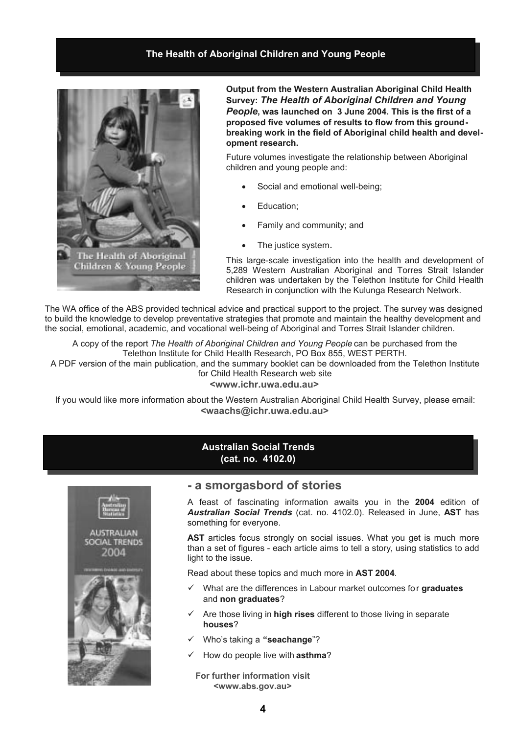

**Output from the Western Australian Aboriginal Child Health Survey:** *The Health of Aboriginal Children and Young People***, was launched on 3 June 2004. This is the first of a proposed five volumes of results to flow from this groundbreaking work in the field of Aboriginal child health and development research.**

Future volumes investigate the relationship between Aboriginal children and young people and:

- Social and emotional well-being;
- Education:
- Family and community; and
- The justice system.

This large-scale investigation into the health and development of 5,289 Western Australian Aboriginal and Torres Strait Islander children was undertaken by the Telethon Institute for Child Health Research in conjunction with the Kulunga Research Network.

The WA office of the ABS provided technical advice and practical support to the project. The survey was designed to build the knowledge to develop preventative strategies that promote and maintain the healthy development and the social, emotional, academic, and vocational well-being of Aboriginal and Torres Strait Islander children.

A copy of the report *The Health of Aboriginal Children and Young People* can be purchased from the Telethon Institute for Child Health Research, PO Box 855, WEST PERTH. A PDF version of the main publication, and the summary booklet can be downloaded from the Telethon Institute for Child Health Research web site

**<www.ichr.uwa.edu.au>**

If you would like more information about the Western Australian Aboriginal Child Health Survey, please email: **<waachs@ichr.uwa.edu.au>**

## **Australian Social Trends (cat. no. 4102.0)**



# **- a smorgasbord of stories**

A feast of fascinating information awaits you in the **2004** edition of *Australian Social Trends* (cat. no. 4102.0). Released in June, **AST** has something for everyone.

AST articles focus strongly on social issues. What you get is much more than a set of figures - each article aims to tell a story, using statistics to add light to the issue.

Read about these topics and much more in **AST 2004**.

- # What are the differences in Labour market outcomes for **graduates** and **non graduates**?
- Are those living in **high rises** different to those living in separate **houses**?
- Who's taking a "seachange"?
- How do people live with **asthma**?

**For further information visit <www.abs.gov.au>**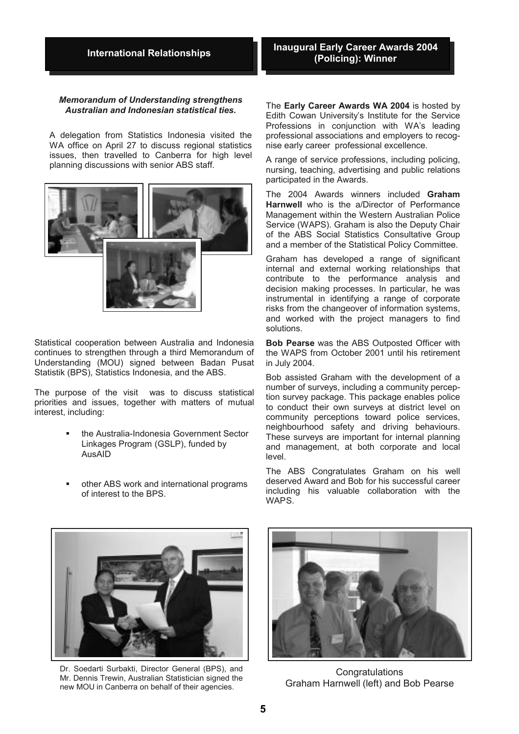A delegation from Statistics Indonesia visited the WA office on April 27 to discuss regional statistics issues, then travelled to Canberra for high level planning discussions with senior ABS staff.



Statistical cooperation between Australia and Indonesia continues to strengthen through a third Memorandum of Understanding (MOU) signed between Badan Pusat Statistik (BPS), Statistics Indonesia, and the ABS.

The purpose of the visit was to discuss statistical priorities and issues, together with matters of mutual interest, including:

- the Australia-Indonesia Government Sector Linkages Program (GSLP), funded by AusAID
- other ABS work and international programs of interest to the BPS.

The **Early Career Awards WA 2004** is hosted by Edith Cowan Universityís Institute for the Service Professions in conjunction with WA's leading professional associations and employers to recognise early career professional excellence.

A range of service professions, including policing, nursing, teaching, advertising and public relations participated in the Awards.

The 2004 Awards winners included **Graham Harnwell** who is the a/Director of Performance Management within the Western Australian Police Service (WAPS). Graham is also the Deputy Chair of the ABS Social Statistics Consultative Group and a member of the Statistical Policy Committee.

Graham has developed a range of significant internal and external working relationships that contribute to the performance analysis and decision making processes. In particular, he was instrumental in identifying a range of corporate risks from the changeover of information systems, and worked with the project managers to find solutions.

**Bob Pearse** was the ABS Outposted Officer with the WAPS from October 2001 until his retirement in July 2004.

Bob assisted Graham with the development of a number of surveys, including a community perception survey package. This package enables police to conduct their own surveys at district level on community perceptions toward police services, neighbourhood safety and driving behaviours. These surveys are important for internal planning and management, at both corporate and local level.

The ABS Congratulates Graham on his well deserved Award and Bob for his successful career including his valuable collaboration with the WAPS.



Dr. Soedarti Surbakti, Director General (BPS), and Mr. Dennis Trewin, Australian Statistician signed the new MOU in Canberra on behalf of their agencies.



**Congratulations** Graham Harnwell (left) and Bob Pearse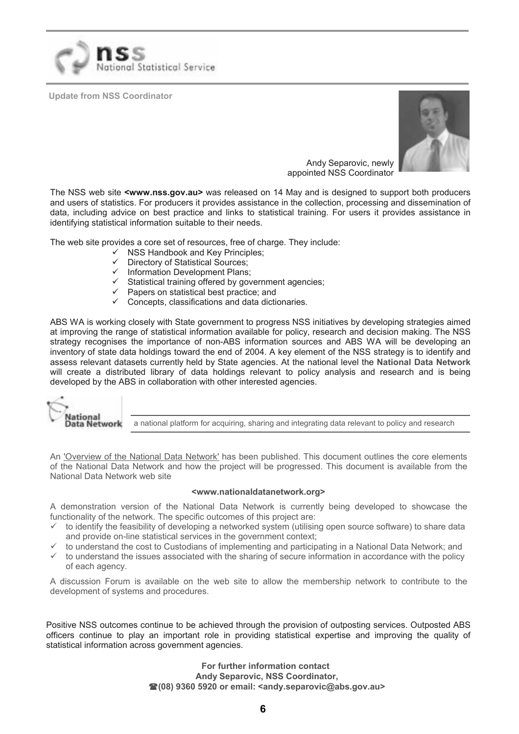

**Update from NSS Coordinator**



Andy Separovic, newly appointed NSS Coordinator

The NSS web site **<www.nss.gov.au>** was released on 14 May and is designed to support both producers and users of statistics. For producers it provides assistance in the collection, processing and dissemination of data, including advice on best practice and links to statistical training. For users it provides assistance in identifying statistical information suitable to their needs.

The web site provides a core set of resources, free of charge. They include:

- $\checkmark$  NSS Handbook and Key Principles;
- $\checkmark$  Directory of Statistical Sources;
- $\checkmark$  Information Development Plans;
- $\checkmark$  Statistical training offered by government agencies;
- $\checkmark$  Papers on statistical best practice; and
- $\checkmark$  Concepts, classifications and data dictionaries.

ABS WA is working closely with State government to progress NSS initiatives by developing strategies aimed at improving the range of statistical information available for policy, research and decision making. The NSS strategy recognises the importance of non-ABS information sources and ABS WA will be developing an inventory of state data holdings toward the end of 2004. A key element of the NSS strategy is to identify and assess relevant datasets currently held by State agencies. At the national level the **National Data Network** will create a distributed library of data holdings relevant to policy analysis and research and is being developed by the ABS in collaboration with other interested agencies.



\$ National Data Network web site An 'Overview of the National Data Network' has been published. This document outlines the core elements of the National Data Network and how the project will be progressed. This document is available from the

### **<www.nationaldatanetwork.org>**

**ABS Outposted Officer** ng developed A demonstration version of the National Data Network is currently being developed to showcase the functionality of the network. The specific outcomes of this project are:

- tunctionality of the network. The specific outcomes of this project are.<br>✓ to identify the feasibility of developing a networked system (utilising open source software) to share data and provide on-line statistical services in the government context;
- $\checkmark$  to understand the cost to Custodians of implementing and participating in a National Data Network; and  $\checkmark$  to understand the issues associated with the sharing of secure information in accordance with the policy
- of each agency.

A discussion Forum is available on the web site to allow the membership network to contribute to the development of systems and procedures.

Positive NSS outcomes continue to be achieved through the provision of outposting services. Outposted ABS officers continue to play an important role in providing statistical expertise and improving the quality of statistical information across government agencies.

> **For further information contact Andy Separovic, NSS Coordinator,** !**(08) 9360 5920 or email: <andy.separovic@abs.gov.au>**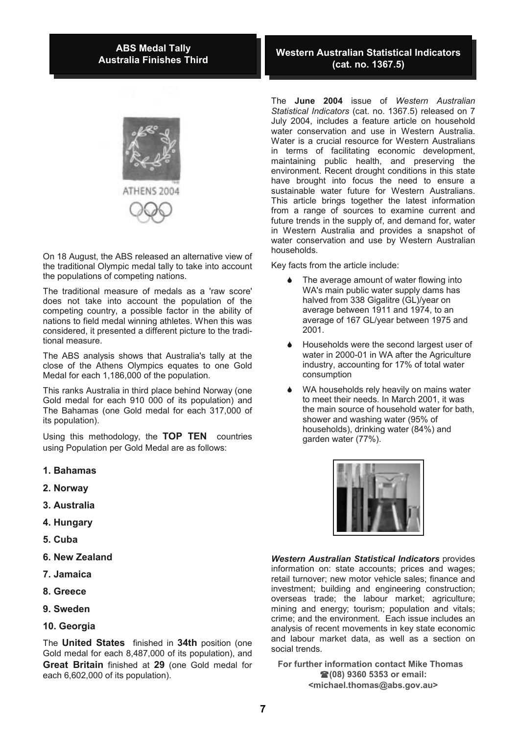

On 18 August, the ABS released an alternative view of the traditional Olympic medal tally to take into account the populations of competing nations.

The traditional measure of medals as a 'raw score' does not take into account the population of the competing country, a possible factor in the ability of nations to field medal winning athletes. When this was considered, it presented a different picture to the traditional measure.

The ABS analysis shows that Australia's tally at the close of the Athens Olympics equates to one Gold Medal for each 1,186,000 of the population.

This ranks Australia in third place behind Norway (one Gold medal for each 910 000 of its population) and The Bahamas (one Gold medal for each 317,000 of its population).

Using this methodology, the **TOP TEN** countries using Population per Gold Medal are as follows:

- **1. Bahamas**
- **2. Norway**
- **3. Australia**
- **4. Hungary**
- **5. Cuba**
- **6. New Zealand**
- **7. Jamaica**
- **8. Greece**
- **9. Sweden**

### **10. Georgia**

The **United States** finished in **34th** position (one Gold medal for each 8,487,000 of its population), and **Great Britain** finished at **29** (one Gold medal for each 6,602,000 of its population).

## **Western Australian Statistical Indicators (cat. no. 1367.5)**

The **June 2004** issue of *Western Australian Statistical Indicators* (cat. no. 1367.5) released on 7 July 2004, includes a feature article on household water conservation and use in Western Australia. Water is a crucial resource for Western Australians in terms of facilitating economic development, maintaining public health, and preserving the environment. Recent drought conditions in this state have brought into focus the need to ensure a sustainable water future for Western Australians. This article brings together the latest information from a range of sources to examine current and future trends in the supply of, and demand for, water in Western Australia and provides a snapshot of water conservation and use by Western Australian households.

Key facts from the article include:

- The average amount of water flowing into WA's main public water supply dams has halved from 338 Gigalitre (GL)/year on average between 1911 and 1974, to an average of 167 GL/year between 1975 and 2001.
- Households were the second largest user of water in 2000-01 in WA after the Agriculture industry, accounting for 17% of total water consumption
- % WA households rely heavily on mains water to meet their needs. In March 2001, it was the main source of household water for bath, shower and washing water (95% of households), drinking water (84%) and garden water (77%).



*Western Australian Statistical Indicators* provides information on: state accounts; prices and wages; retail turnover; new motor vehicle sales; finance and investment; building and engineering construction; overseas trade; the labour market; agriculture; mining and energy; tourism; population and vitals; crime; and the environment. Each issue includes an analysis of recent movements in key state economic and labour market data, as well as a section on social trends.

**For further information contact Mike Thomas**  !**(08) 9360 5353 or email: <michael.thomas@abs.gov.au>**